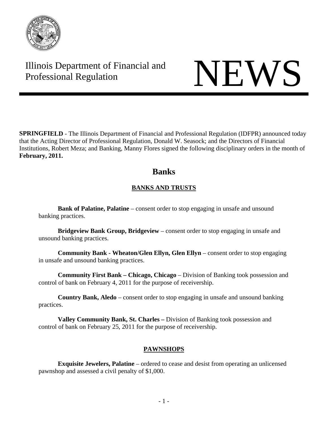

# Illinois Department of Financial and Illinois Department of Financial and<br>Professional Regulation

**SPRINGFIELD** - The Illinois Department of Financial and Professional Regulation (IDFPR) announced today that the Acting Director of Professional Regulation, Donald W. Seasock; and the Directors of Financial Institutions, Robert Meza; and Banking, Manny Flores signed the following disciplinary orders in the month of **February, 2011.** 

## **Banks**

## **BANKS AND TRUSTS**

**Bank of Palatine, Palatine** – consent order to stop engaging in unsafe and unsound banking practices.

**Bridgeview Bank Group, Bridgeview** – consent order to stop engaging in unsafe and unsound banking practices.

**Community Bank - Wheaton/Glen Ellyn, Glen Ellyn** – consent order to stop engaging in unsafe and unsound banking practices.

**Community First Bank – Chicago, Chicago** – Division of Banking took possession and control of bank on February 4, 2011 for the purpose of receivership.

**Country Bank, Aledo** – consent order to stop engaging in unsafe and unsound banking practices.

**Valley Community Bank, St. Charles –** Division of Banking took possession and control of bank on February 25, 2011 for the purpose of receivership.

### **PAWNSHOPS**

**Exquisite Jewelers, Palatine** – ordered to cease and desist from operating an unlicensed pawnshop and assessed a civil penalty of \$1,000.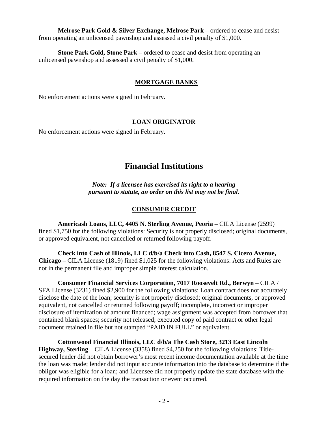**Melrose Park Gold & Silver Exchange, Melrose Park** – ordered to cease and desist from operating an unlicensed pawnshop and assessed a civil penalty of \$1,000.

**Stone Park Gold, Stone Park** – ordered to cease and desist from operating an unlicensed pawnshop and assessed a civil penalty of \$1,000.

#### **MORTGAGE BANKS**

No enforcement actions were signed in February.

#### **LOAN ORIGINATOR**

No enforcement actions were signed in February.

## **Financial Institutions**

*Note: If a licensee has exercised its right to a hearing pursuant to statute, an order on this list may not be final.*

#### **CONSUMER CREDIT**

**Americash Loans, LLC, 4405 N. Sterling Avenue, Peoria –** CILA License (2599) fined \$1,750 for the following violations: Security is not properly disclosed; original documents, or approved equivalent, not cancelled or returned following payoff.

**Check into Cash of Illinois, LLC d/b/a Check into Cash, 8547 S. Cicero Avenue, Chicago** – CILA License (1819) fined \$1,025 for the following violations: Acts and Rules are not in the permanent file and improper simple interest calculation.

**Consumer Financial Services Corporation, 7017 Roosevelt Rd., Berwyn** – CILA / SFA License (3231) fined \$2,900 for the following violations: Loan contract does not accurately disclose the date of the loan; security is not properly disclosed; original documents, or approved equivalent, not cancelled or returned following payoff; incomplete, incorrect or improper disclosure of itemization of amount financed; wage assignment was accepted from borrower that contained blank spaces; security not released; executed copy of paid contract or other legal document retained in file but not stamped "PAID IN FULL" or equivalent.

**Cottonwood Financial Illinois, LLC d/b/a The Cash Store, 3213 East Lincoln Highway, Sterling** – CILA License (3358) fined \$4,250 for the following violations: Titlesecured lender did not obtain borrower's most recent income documentation available at the time the loan was made; lender did not input accurate information into the database to determine if the obligor was eligible for a loan; and Licensee did not properly update the state database with the required information on the day the transaction or event occurred.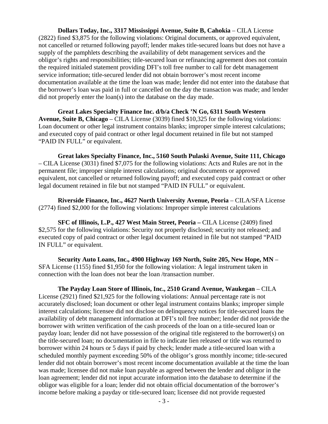**Dollars Today, Inc., 3317 Mississippi Avenue, Suite B, Cahokia** – CILA License (2822) fined \$3,875 for the following violations: Original documents, or approved equivalent, not cancelled or returned following payoff; lender makes title-secured loans but does not have a supply of the pamphlets describing the availability of debt management services and the obligor's rights and responsibilities; title-secured loan or refinancing agreement does not contain the required initialed statement providing DFI's toll free number to call for debt management service information; title-secured lender did not obtain borrower's most recent income documentation available at the time the loan was made; lender did not enter into the database that the borrower's loan was paid in full or cancelled on the day the transaction was made; and lender did not properly enter the loan(s) into the database on the day made.

**Great Lakes Specialty Finance Inc. d/b/a Check 'N Go, 6311 South Western Avenue, Suite B, Chicago** – CILA License (3039) fined \$10,325 for the following violations: Loan document or other legal instrument contains blanks; improper simple interest calculations; and executed copy of paid contract or other legal document retained in file but not stamped "PAID IN FULL" or equivalent.

**Great lakes Specialty Finance, Inc., 5160 South Pulaski Avenue, Suite 111, Chicago**  – CILA License (3031) fined \$7,075 for the following violations: Acts and Rules are not in the permanent file; improper simple interest calculations; original documents or approved equivalent, not cancelled or returned following payoff; and executed copy paid contract or other legal document retained in file but not stamped "PAID IN FULL" or equivalent.

**Riverside Finance, Inc., 4627 North University Avenue, Peoria** – CILA/SFA License (2774) fined \$2,000 for the following violations: Improper simple interest calculations

**SFC of Illinois, L.P., 427 West Main Street, Peoria – CILA License (2409) fined** \$2,575 for the following violations: Security not properly disclosed; security not released; and executed copy of paid contract or other legal document retained in file but not stamped "PAID IN FULL" or equivalent.

**Security Auto Loans, Inc., 4900 Highway 169 North, Suite 205, New Hope, MN** – SFA License (1155) fined \$1,950 for the following violation: A legal instrument taken in connection with the loan does not bear the loan /transaction number.

**The Payday Loan Store of Illinois, Inc., 2510 Grand Avenue, Waukegan** – CILA License (2921) fined \$21,925 for the following violations: Annual percentage rate is not accurately disclosed; loan document or other legal instrument contains blanks; improper simple interest calculations; licensee did not disclose on delinquency notices for title-secured loans the availability of debt management information at DFI's toll free number; lender did not provide the borrower with written verification of the cash proceeds of the loan on a title-secured loan or payday loan; lender did not have possession of the original title registered to the borrower(s) on the title-secured loan; no documentation in file to indicate lien released or title was returned to borrower within 24 hours or 5 days if paid by check; lender made a title-secured loan with a scheduled monthly payment exceeding 50% of the obligor's gross monthly income; title-secured lender did not obtain borrower's most recent income documentation available at the time the loan was made; licensee did not make loan payable as agreed between the lender and obligor in the loan agreement; lender did not input accurate information into the database to determine if the obligor was eligible for a loan; lender did not obtain official documentation of the borrower's income before making a payday or title-secured loan; licensee did not provide requested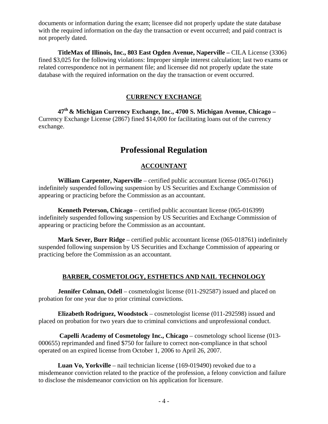documents or information during the exam; licensee did not properly update the state database with the required information on the day the transaction or event occurred; and paid contract is not properly dated.

**TitleMax of Illinois, Inc., 803 East Ogden Avenue, Naperville –** CILA License (3306) fined \$3,025 for the following violations: Improper simple interest calculation; last two exams or related correspondence not in permanent file; and licensee did not properly update the state database with the required information on the day the transaction or event occurred.

#### **CURRENCY EXCHANGE**

**47th & Michigan Currency Exchange, Inc., 4700 S. Michigan Avenue, Chicago –** Currency Exchange License (2867) fined \$14,000 for facilitating loans out of the currency exchange.

## **Professional Regulation**

#### **ACCOUNTANT**

**William Carpenter, Naperville** – certified public accountant license (065-017661) indefinitely suspended following suspension by US Securities and Exchange Commission of appearing or practicing before the Commission as an accountant.

**Kenneth Peterson, Chicago** – certified public accountant license (065-016399) indefinitely suspended following suspension by US Securities and Exchange Commission of appearing or practicing before the Commission as an accountant.

**Mark Sever, Burr Ridge** – certified public accountant license (065-018761) indefinitely suspended following suspension by US Securities and Exchange Commission of appearing or practicing before the Commission as an accountant.

#### **BARBER, COSMETOLOGY, ESTHETICS AND NAIL TECHNOLOGY**

**Jennifer Colman, Odell** – cosmetologist license (011-292587) issued and placed on probation for one year due to prior criminal convictions.

**Elizabeth Rodriguez, Woodstock** – cosmetologist license (011-292598) issued and placed on probation for two years due to criminal convictions and unprofessional conduct.

 **Capelli Academy of Cosmetology Inc., Chicago** – cosmetology school license (013- 000655) reprimanded and fined \$750 for failure to correct non-compliance in that school operated on an expired license from October 1, 2006 to April 26, 2007.

**Luan Vo, Yorkville** – nail technician license (169-019490) revoked due to a misdemeanor conviction related to the practice of the profession, a felony conviction and failure to disclose the misdemeanor conviction on his application for licensure.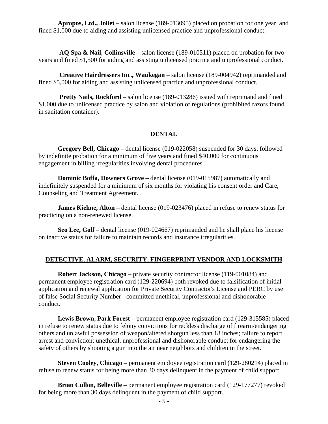**Apropos, Ltd., Joliet** – salon license (189-013095) placed on probation for one year and fined \$1,000 due to aiding and assisting unlicensed practice and unprofessional conduct.

 **AQ Spa & Nail, Collinsville** – salon license (189-010511) placed on probation for two years and fined \$1,500 for aiding and assisting unlicensed practice and unprofessional conduct.

 **Creative Hairdressers Inc., Waukegan** – salon license (189-004942) reprimanded and fined \$5,000 for aiding and assisting unlicensed practice and unprofessional conduct.

**Pretty Nails, Rockford** – salon license (189-013286) issued with reprimand and fined \$1,000 due to unlicensed practice by salon and violation of regulations (prohibited razors found in sanitation container).

#### **DENTAL**

**Gregory Bell, Chicago** – dental license (019-022058) suspended for 30 days, followed by indefinite probation for a minimum of five years and fined \$40,000 for continuous engagement in billing irregularities involving dental procedures.

**Dominic Boffa, Downers Grove** – dental license (019-015987) automatically and indefinitely suspended for a minimum of six months for violating his consent order and Care, Counseling and Treatment Agreement.

**James Kiehne, Alton** – dental license (019-023476) placed in refuse to renew status for practicing on a non-renewed license.

**Seo Lee, Golf** – dental license (019-024667) reprimanded and he shall place his license on inactive status for failure to maintain records and insurance irregularities.

#### **DETECTIVE, ALARM, SECURITY, FINGERPRINT VENDOR AND LOCKSMITH**

**Robert Jackson, Chicago** – private security contractor license (119-001084) and permanent employee registration card (129-220694) both revoked due to falsification of initial application and renewal application for Private Security Contractor's License and PERC by use of false Social Security Number - committed unethical, unprofessional and dishonorable conduct.

**Lewis Brown, Park Forest** – permanent employee registration card (129-315585) placed in refuse to renew status due to felony convictions for reckless discharge of firearm/endangering others and unlawful possession of weapon/altered shotgun less than 18 inches; failure to report arrest and conviction; unethical, unprofessional and dishonorable conduct for endangering the safety of others by shooting a gun into the air near neighbors and children in the street.

**Steven Cooley, Chicago** – permanent employee registration card (129-280214) placed in refuse to renew status for being more than 30 days delinquent in the payment of child support.

**Brian Cullon, Belleville** – permanent employee registration card (129-177277) revoked for being more than 30 days delinquent in the payment of child support.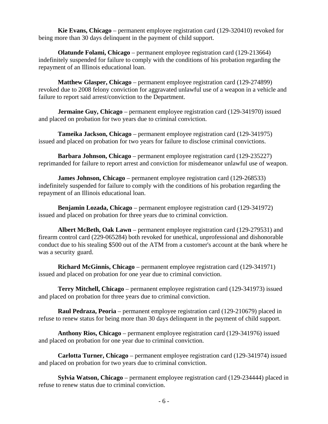**Kie Evans, Chicago** – permanent employee registration card (129-320410) revoked for being more than 30 days delinquent in the payment of child support.

**Olatunde Folami, Chicago** – permanent employee registration card (129-213664) indefinitely suspended for failure to comply with the conditions of his probation regarding the repayment of an Illinois educational loan.

**Matthew Glasper, Chicago** – permanent employee registration card (129-274899) revoked due to 2008 felony conviction for aggravated unlawful use of a weapon in a vehicle and failure to report said arrest/conviction to the Department.

**Jermaine Guy, Chicago** – permanent employee registration card (129-341970) issued and placed on probation for two years due to criminal conviction.

**Tameika Jackson, Chicago** – permanent employee registration card (129-341975) issued and placed on probation for two years for failure to disclose criminal convictions.

**Barbara Johnson, Chicago** – permanent employee registration card (129-235227) reprimanded for failure to report arrest and conviction for misdemeanor unlawful use of weapon.

**James Johnson, Chicago** – permanent employee registration card (129-268533) indefinitely suspended for failure to comply with the conditions of his probation regarding the repayment of an Illinois educational loan.

**Benjamin Lozada, Chicago** – permanent employee registration card (129-341972) issued and placed on probation for three years due to criminal conviction.

**Albert McBeth, Oak Lawn** – permanent employee registration card (129-279531) and firearm control card (229-065284) both revoked for unethical, unprofessional and dishonorable conduct due to his stealing \$500 out of the ATM from a customer's account at the bank where he was a security guard.

**Richard McGinnis, Chicago** – permanent employee registration card (129-341971) issued and placed on probation for one year due to criminal conviction.

**Terry Mitchell, Chicago** – permanent employee registration card (129-341973) issued and placed on probation for three years due to criminal conviction.

**Raul Pedraza, Peoria** – permanent employee registration card (129-210679) placed in refuse to renew status for being more than 30 days delinquent in the payment of child support.

**Anthony Rios, Chicago** – permanent employee registration card (129-341976) issued and placed on probation for one year due to criminal conviction.

**Carlotta Turner, Chicago** – permanent employee registration card (129-341974) issued and placed on probation for two years due to criminal conviction.

**Sylvia Watson, Chicago** – permanent employee registration card (129-234444) placed in refuse to renew status due to criminal conviction.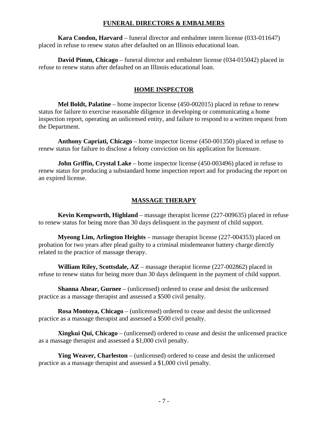#### **FUNERAL DIRECTORS & EMBALMERS**

**Kara Condon, Harvard** – funeral director and embalmer intern license (033-011647) placed in refuse to renew status after defaulted on an Illinois educational loan.

**David Pimm, Chicago** – funeral director and embalmer license (034-015042) placed in refuse to renew status after defaulted on an Illinois educational loan.

#### **HOME INSPECTOR**

**Mel Boldt, Palatine** – home inspector license (450-002015) placed in refuse to renew status for failure to exercise reasonable diligence in developing or communicating a home inspection report, operating an unlicensed entity, and failure to respond to a written request from the Department.

**Anthony Capriati, Chicago** – home inspector license (450-001350) placed in refuse to renew status for failure to disclose a felony conviction on his application for licensure.

**John Griffin, Crystal Lake** – home inspector license (450-003496) placed in refuse to renew status for producing a substandard home inspection report and for producing the report on an expired license.

#### **MASSAGE THERAPY**

**Kevin Kempworth, Highland** – massage therapist license (227-009635) placed in refuse to renew status for being more than 30 days delinquent in the payment of child support.

**Myeong Lim, Arlington Heights** – massage therapist license (227-004353) placed on probation for two years after plead guilty to a criminal misdemeanor battery charge directly related to the practice of massage therapy.

**William Riley, Scottsdale, AZ** – massage therapist license (227-002862) placed in refuse to renew status for being more than 30 days delinquent in the payment of child support.

**Shanna Abear, Gurnee** – (unlicensed) ordered to cease and desist the unlicensed practice as a massage therapist and assessed a \$500 civil penalty.

**Rosa Montoya, Chicago** – (unlicensed) ordered to cease and desist the unlicensed practice as a massage therapist and assessed a \$500 civil penalty.

**Xingkui Qui, Chicago** – (unlicensed) ordered to cease and desist the unlicensed practice as a massage therapist and assessed a \$1,000 civil penalty.

**Ying Weaver, Charleston** – (unlicensed) ordered to cease and desist the unlicensed practice as a massage therapist and assessed a \$1,000 civil penalty.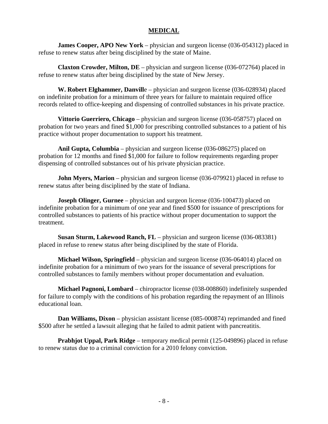#### **MEDICAL**

**James Cooper, APO New York** – physician and surgeon license (036-054312) placed in refuse to renew status after being disciplined by the state of Maine.

**Claxton Crowder, Milton, DE** – physician and surgeon license (036-072764) placed in refuse to renew status after being disciplined by the state of New Jersey.

**W. Robert Elghammer, Danvill**e – physician and surgeon license (036-028934) placed on indefinite probation for a minimum of three years for failure to maintain required office records related to office-keeping and dispensing of controlled substances in his private practice.

**Vittorio Guerriero, Chicago** – physician and surgeon license (036-058757) placed on probation for two years and fined \$1,000 for prescribing controlled substances to a patient of his practice without proper documentation to support his treatment.

**Anil Gupta, Columbia** – physician and surgeon license (036-086275) placed on probation for 12 months and fined \$1,000 for failure to follow requirements regarding proper dispensing of controlled substances out of his private physician practice.

**John Myers, Marion** – physician and surgeon license (036-079921) placed in refuse to renew status after being disciplined by the state of Indiana.

**Joseph Olinger, Gurnee** – physician and surgeon license (036-100473) placed on indefinite probation for a minimum of one year and fined \$500 for issuance of prescriptions for controlled substances to patients of his practice without proper documentation to support the treatment.

**Susan Sturm, Lakewood Ranch, FL** – physician and surgeon license (036-083381) placed in refuse to renew status after being disciplined by the state of Florida.

**Michael Wilson, Springfield** – physician and surgeon license (036-064014) placed on indefinite probation for a minimum of two years for the issuance of several prescriptions for controlled substances to family members without proper documentation and evaluation.

**Michael Pagnoni, Lombard** – chiropractor license (038-008860) indefinitely suspended for failure to comply with the conditions of his probation regarding the repayment of an Illinois educational loan.

**Dan Williams, Dixon** – physician assistant license (085-000874) reprimanded and fined \$500 after he settled a lawsuit alleging that he failed to admit patient with pancreatitis.

**Prabhjot Uppal, Park Ridge** – temporary medical permit (125-049896) placed in refuse to renew status due to a criminal conviction for a 2010 felony conviction.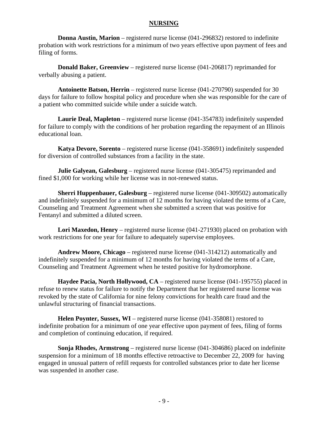#### **NURSING**

**Donna Austin, Marion** – registered nurse license (041-296832) restored to indefinite probation with work restrictions for a minimum of two years effective upon payment of fees and filing of forms.

**Donald Baker, Greenview** – registered nurse license (041-206817) reprimanded for verbally abusing a patient.

**Antoinette Batson, Herrin** – registered nurse license (041-270790) suspended for 30 days for failure to follow hospital policy and procedure when she was responsible for the care of a patient who committed suicide while under a suicide watch.

**Laurie Deal, Mapleton** – registered nurse license (041-354783) indefinitely suspended for failure to comply with the conditions of her probation regarding the repayment of an Illinois educational loan.

**Katya Devore, Sorento** – registered nurse license (041-358691) indefinitely suspended for diversion of controlled substances from a facility in the state.

**Julie Galyean, Galesburg** – registered nurse license (041-305475) reprimanded and fined \$1,000 for working while her license was in not-renewed status.

**Sherri Huppenbauer, Galesburg** – registered nurse license (041-309502) automatically and indefinitely suspended for a minimum of 12 months for having violated the terms of a Care, Counseling and Treatment Agreement when she submitted a screen that was positive for Fentanyl and submitted a diluted screen.

**Lori Maxedon, Henry** – registered nurse license (041-271930) placed on probation with work restrictions for one year for failure to adequately supervise employees.

**Andrew Moore, Chicago** – registered nurse license (041-314212) automatically and indefinitely suspended for a minimum of 12 months for having violated the terms of a Care, Counseling and Treatment Agreement when he tested positive for hydromorphone.

**Haydee Pacia, North Hollywood, CA** – registered nurse license (041-195755) placed in refuse to renew status for failure to notify the Department that her registered nurse license was revoked by the state of California for nine felony convictions for health care fraud and the unlawful structuring of financial transactions.

**Helen Poynter, Sussex, WI** – registered nurse license (041-358081) restored to indefinite probation for a minimum of one year effective upon payment of fees, filing of forms and completion of continuing education, if required.

**Sonja Rhodes, Armstrong** – registered nurse license (041-304686) placed on indefinite suspension for a minimum of 18 months effective retroactive to December 22, 2009 for having engaged in unusual pattern of refill requests for controlled substances prior to date her license was suspended in another case.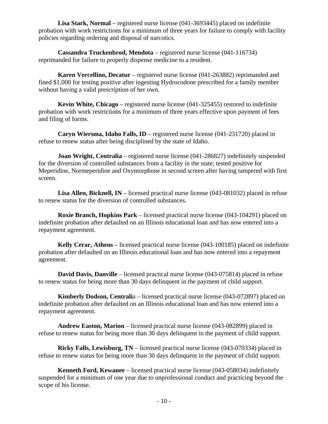**Lisa Stark, Normal** – registered nurse license (041-3693445) placed on indefinite probation with work restrictions for a minimum of three years for failure to comply with facility policies regarding ordering and disposal of narcotics.

**Cassandra Truckenbrod, Mendota** – registered nurse license (041-116734) reprimanded for failure to properly dispense medicine to a resident.

**Karen Vercellino, Decatur** – registered nurse license (041-263882) reprimanded and fined \$1,000 for testing positive after ingesting Hydrocodone prescribed for a family member without having a valid prescription of her own.

**Kevin White, Chicago** – registered nurse license (041-325455) restored to indefinite probation with work restrictions for a minimum of three years effective upon payment of fees and filing of forms.

**Caryn Wiersma, Idaho Falls, ID** – registered nurse license (041-231720) placed in refuse to renew status after being disciplined by the state of Idaho.

**Joan Wright, Centralia** – registered nurse license (041-286827) indefinitely suspended for the diversion of controlled substances from a facility in the state; tested positive for Meperidine, Normeperidine and Oxymorphone in second screen after having tampered with first screen.

Lisa Allen, Bicknell, IN – licensed practical nurse license (043-081032) placed in refuse to renew status for the diversion of controlled substances.

**Roxie Branch, Hopkins Park** – licensed practical nurse license (043-104291) placed on indefinite probation after defaulted on an Illinois educational loan and has now entered into a repayment agreement.

**Kelly Cerar, Athens** – licensed practical nurse license (043-100185) placed on indefinite probation after defaulted on an Illinois educational loan and has now entered into a repayment agreement.

**David Davis, Danville** – licensed practical nurse license (043-075814) placed in refuse to renew status for being more than 30 days delinquent in the payment of child support.

**Kimberly Dodson, Centrali**a – licensed practical nurse license (043-072897) placed on indefinite probation after defaulted on an Illinois educational loan and has now entered into a repayment agreement.

**Andrew Easton, Marion** – licensed practical nurse license (043-082899) placed in refuse to renew status for being more than 30 days delinquent in the payment of child support.

**Ricky Falls, Lewisburg, TN** – licensed practical nurse license (043-070334) placed in refuse to renew status for being more than 30 days delinquent in the payment of child support.

**Kenneth Ford, Kewanee** – licensed practical nurse license (043-058034) indefinitely suspended for a minimum of one year due to unprofessional conduct and practicing beyond the scope of his license.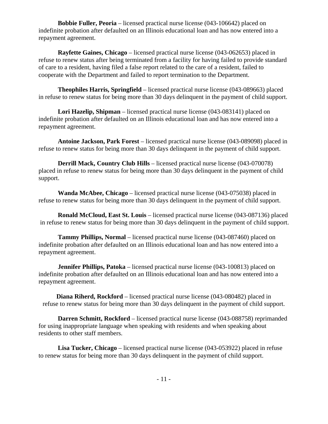**Bobbie Fuller, Peoria** – licensed practical nurse license (043-106642) placed on indefinite probation after defaulted on an Illinois educational loan and has now entered into a repayment agreement.

**Rayfette Gaines, Chicago** – licensed practical nurse license (043-062653) placed in refuse to renew status after being terminated from a facility for having failed to provide standard of care to a resident, having filed a false report related to the care of a resident, failed to cooperate with the Department and failed to report termination to the Department.

**Theophiles Harris, Springfield** – licensed practical nurse license (043-089663) placed in refuse to renew status for being more than 30 days delinquent in the payment of child support.

**Lori Hazelip, Shipman** – licensed practical nurse license (043-083141) placed on indefinite probation after defaulted on an Illinois educational loan and has now entered into a repayment agreement.

**Antoine Jackson, Park Forest** – licensed practical nurse license (043-089098) placed in refuse to renew status for being more than 30 days delinquent in the payment of child support.

**Derrill Mack, Country Club Hills** – licensed practical nurse license (043-070078) placed in refuse to renew status for being more than 30 days delinquent in the payment of child support.

**Wanda McAbee, Chicago** – licensed practical nurse license (043-075038) placed in refuse to renew status for being more than 30 days delinquent in the payment of child support.

**Ronald McCloud, East St. Louis** – licensed practical nurse license (043-087136) placed in refuse to renew status for being more than 30 days delinquent in the payment of child support.

**Tammy Phillips, Normal** – licensed practical nurse license (043-087460) placed on indefinite probation after defaulted on an Illinois educational loan and has now entered into a repayment agreement.

**Jennifer Phillips, Patoka** – licensed practical nurse license (043-100813) placed on indefinite probation after defaulted on an Illinois educational loan and has now entered into a repayment agreement.

**Diana Riherd, Rockford** – licensed practical nurse license (043-080482) placed in refuse to renew status for being more than 30 days delinquent in the payment of child support.

**Darren Schmitt, Rockford** – licensed practical nurse license (043-088758) reprimanded for using inappropriate language when speaking with residents and when speaking about residents to other staff members.

**Lisa Tucker, Chicago** – licensed practical nurse license (043-053922) placed in refuse to renew status for being more than 30 days delinquent in the payment of child support.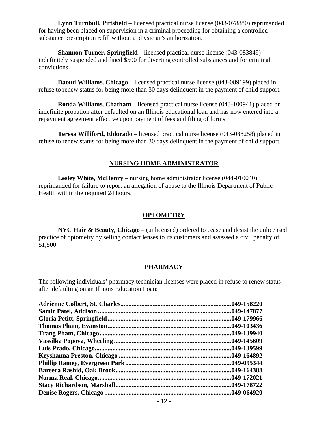**Lynn Turnbull, Pittsfield** – licensed practical nurse license (043-078880) reprimanded for having been placed on supervision in a criminal proceeding for obtaining a controlled substance prescription refill without a physician's authorization.

**Shannon Turner, Springfield** – licensed practical nurse license (043-083849) indefinitely suspended and fined \$500 for diverting controlled substances and for criminal convictions.

**Daoud Williams, Chicago** – licensed practical nurse license (043-089199) placed in refuse to renew status for being more than 30 days delinquent in the payment of child support.

**Ronda Williams, Chatham** – licensed practical nurse license (043-100941) placed on indefinite probation after defaulted on an Illinois educational loan and has now entered into a repayment agreement effective upon payment of fees and filing of forms.

**Teresa Williford, Eldorado** – licensed practical nurse license (043-088258) placed in refuse to renew status for being more than 30 days delinquent in the payment of child support.

#### **NURSING HOME ADMINISTRATOR**

**Lesley White, McHenry** – nursing home administrator license (044-010040) reprimanded for failure to report an allegation of abuse to the Illinois Department of Public Health within the required 24 hours.

#### **OPTOMETRY**

**NYC Hair & Beauty, Chicago** – (unlicensed) ordered to cease and desist the unlicensed practice of optometry by selling contact lenses to its customers and assessed a civil penalty of \$1,500.

#### **PHARMACY**

The following individuals' pharmacy technician licenses were placed in refuse to renew status after defaulting on an Illinois Education Loan:

| .049-158220 |
|-------------|
| .049-147877 |
| .049-179966 |
| .049-103436 |
| .049-139940 |
| .049-145609 |
| .049-139599 |
| .049-164892 |
| 049-095344  |
| .049-164388 |
| .049-172021 |
| .049-178722 |
| .049-064920 |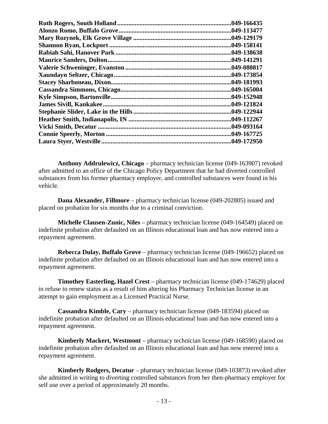| .049-166435 |
|-------------|
| .049-113477 |
| .049-129179 |
| .049-158141 |
| .049-138638 |
| .049-141291 |
| .049-080817 |
| .049-173854 |
| .049-181993 |
| .049-165004 |
| .049-152948 |
| .049-121824 |
| .049-122944 |
| .049-112267 |
| .049-093164 |
| .049-167725 |
| .049-172950 |

 **Anthony Addrulewicz, Chicago** – pharmacy technician license (049-163907) revoked after admitted to an office of the Chicago Policy Department that he had diverted controlled substances from his former pharmacy employer, and controlled substances were found in his vehicle.

**Dana Alexander, Fillmore** – pharmacy technician license (049-202805) issued and placed on probation for six months due to a criminal conviction.

**Michelle Clausen-Zunic, Niles** – pharmacy technician license (049-164549) placed on indefinite probation after defaulted on an Illinois educational loan and has now entered into a repayment agreement.

 **Rebecca Dulay, Buffalo Grove** – pharmacy technician license (049-196652) placed on indefinite probation after defaulted on an Illinois educational loan and has now entered into a repayment agreement.

**Timothey Easterling, Hazel Crest** – pharmacy technician license (049-174629) placed in refuse to renew status as a result of him altering his Pharmacy Technician license in an attempt to gain employment as a Licensed Practical Nurse.

**Cassandra Kimble, Cary** – pharmacy technician license (049-183594) placed on indefinite probation after defaulted on an Illinois educational loan and has now entered into a repayment agreement.

**Kimberly Mackert, Westmont** – pharmacy technician license (049-168590) placed on indefinite probation after defaulted on an Illinois educational loan and has now entered into a repayment agreement.

**Kimberly Rodgers, Decatur** – pharmacy technician license (049-103873) revoked after she admitted in writing to diverting controlled substances from her then-pharmacy employer for self use over a period of approximately 20 months.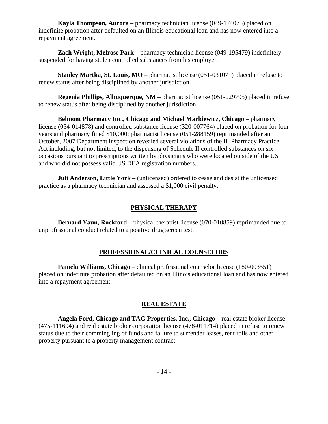**Kayla Thompson, Aurora** – pharmacy technician license (049-174075) placed on indefinite probation after defaulted on an Illinois educational loan and has now entered into a repayment agreement.

**Zach Wright, Melrose Park** – pharmacy technician license (049-195479) indefinitely suspended for having stolen controlled substances from his employer.

**Stanley Martka, St. Louis, MO** – pharmacist license (051-031071) placed in refuse to renew status after being disciplined by another jurisdiction.

**Regenia Phillips, Albuquerque, NM** – pharmacist license (051-029795) placed in refuse to renew status after being disciplined by another jurisdiction.

**Belmont Pharmacy Inc., Chicago and Michael Markiewicz, Chicago** – pharmacy license (054-014878) and controlled substance license (320-007764) placed on probation for four years and pharmacy fined \$10,000; pharmacist license (051-288159) reprimanded after an October, 2007 Department inspection revealed several violations of the IL Pharmacy Practice Act including, but not limited, to the dispensing of Schedule II controlled substances on six occasions pursuant to prescriptions written by physicians who were located outside of the US and who did not possess valid US DEA registration numbers.

**Juli Anderson, Little York** – (unlicensed) ordered to cease and desist the unlicensed practice as a pharmacy technician and assessed a \$1,000 civil penalty.

#### **PHYSICAL THERAPY**

**Bernard Yaun, Rockford** – physical therapist license (070-010859) reprimanded due to unprofessional conduct related to a positive drug screen test.

#### **PROFESSIONAL/CLINICAL COUNSELORS**

**Pamela Williams, Chicago** – clinical professional counselor license (180-003551) placed on indefinite probation after defaulted on an Illinois educational loan and has now entered into a repayment agreement.

#### **REAL ESTATE**

**Angela Ford, Chicago and TAG Properties, Inc., Chicago** – real estate broker license (475-111694) and real estate broker corporation license (478-011714) placed in refuse to renew status due to their commingling of funds and failure to surrender leases, rent rolls and other property pursuant to a property management contract.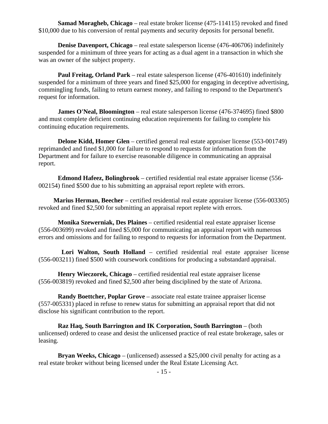**Samad Moragheb, Chicago** – real estate broker license (475-114115) revoked and fined \$10,000 due to his conversion of rental payments and security deposits for personal benefit.

**Denise Davenport, Chicago** – real estate salesperson license (476-406706) indefinitely suspended for a minimum of three years for acting as a dual agent in a transaction in which she was an owner of the subject property.

**Paul Freitag, Orland Park** – real estate salesperson license (476-401610) indefinitely suspended for a minimum of three years and fined \$25,000 for engaging in deceptive advertising, commingling funds, failing to return earnest money, and failing to respond to the Department's request for information.

**James O'Neal, Bloomington** – real estate salesperson license (476-374695) fined \$800 and must complete deficient continuing education requirements for failing to complete his continuing education requirements.

**Delone Kidd, Homer Glen** – certified general real estate appraiser license (553-001749) reprimanded and fined \$1,000 for failure to respond to requests for information from the Department and for failure to exercise reasonable diligence in communicating an appraisal report.

**Edmond Hafeez, Bolingbrook** – certified residential real estate appraiser license (556- 002154) fined \$500 due to his submitting an appraisal report replete with errors.

**Marius Herman, Beecher** – certified residential real estate appraiser license (556-003305) revoked and fined \$2,500 for submitting an appraisal report replete with errors.

**Monika Szewerniak, Des Plaines** – certified residential real estate appraiser license (556-003699) revoked and fined \$5,000 for communicating an appraisal report with numerous errors and omissions and for failing to respond to requests for information from the Department.

 **Lori Walton, South Holland** – certified residential real estate appraiser license (556-003211) fined \$500 with coursework conditions for producing a substandard appraisal.

**Henry Wieczorek, Chicago** – certified residential real estate appraiser license (556-003819) revoked and fined \$2,500 after being disciplined by the state of Arizona.

**Randy Boettcher, Poplar Grove** – associate real estate trainee appraiser license (557-005331) placed in refuse to renew status for submitting an appraisal report that did not disclose his significant contribution to the report.

**Raz Haq, South Barrington and IK Corporation, South Barrington** – (both unlicensed) ordered to cease and desist the unlicensed practice of real estate brokerage, sales or leasing.

**Bryan Weeks, Chicago** – (unlicensed) assessed a \$25,000 civil penalty for acting as a real estate broker without being licensed under the Real Estate Licensing Act.